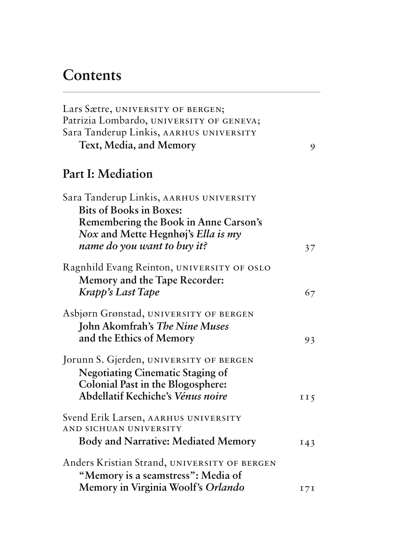## **Contents**

| Lars Sætre, UNIVERSITY OF BERGEN;<br>Patrizia Lombardo, UNIVERSITY OF GENEVA;                                                                                       |                 |
|---------------------------------------------------------------------------------------------------------------------------------------------------------------------|-----------------|
| Sara Tanderup Linkis, AARHUS UNIVERSITY                                                                                                                             |                 |
| Text, Media, and Memory                                                                                                                                             | 9               |
| Part I: Mediation                                                                                                                                                   |                 |
| Sara Tanderup Linkis, AARHUS UNIVERSITY<br><b>Bits of Books in Boxes:</b>                                                                                           |                 |
| Remembering the Book in Anne Carson's<br>Nox and Mette Hegnhøj's Ella is my                                                                                         |                 |
| name do you want to buy it?                                                                                                                                         | 37              |
| Ragnhild Evang Reinton, UNIVERSITY OF OSLO<br>Memory and the Tape Recorder:<br>Krapp's Last Tape                                                                    | 67              |
| Asbjørn Grønstad, UNIVERSITY OF BERGEN<br><b>John Akomfrah's The Nine Muses</b><br>and the Ethics of Memory                                                         | 93              |
| Jorunn S. Gjerden, UNIVERSITY OF BERGEN<br><b>Negotiating Cinematic Staging of</b><br>Colonial Past in the Blogosphere:<br>Abdellatif Kechiche's <i>Vénus noire</i> | II <sub>5</sub> |
| Svend Erik Larsen, AARHUS UNIVERSITY<br>AND SICHUAN UNIVERSITY<br><b>Body and Narrative: Mediated Memory</b>                                                        | 143             |
| Anders Kristian Strand, UNIVERSITY OF BERGEN<br>"Memory is a seamstress": Media of<br>Memory in Virginia Woolf's Orlando                                            | 171             |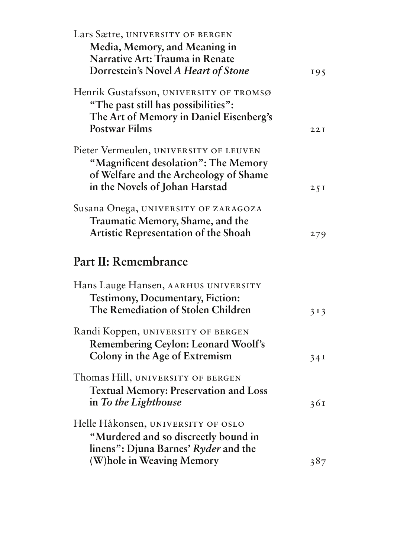| Lars Sætre, UNIVERSITY OF BERGEN                                               |     |
|--------------------------------------------------------------------------------|-----|
| Media, Memory, and Meaning in                                                  |     |
| Narrative Art: Trauma in Renate                                                |     |
| Dorrestein's Novel A Heart of Stone                                            | 195 |
| Henrik Gustafsson, UNIVERSITY OF TROMSØ                                        |     |
| "The past still has possibilities":                                            |     |
| The Art of Memory in Daniel Eisenberg's                                        |     |
| <b>Postwar Films</b>                                                           | 22I |
|                                                                                |     |
| Pieter Vermeulen, UNIVERSITY OF LEUVEN                                         |     |
| "Magnificent desolation": The Memory<br>of Welfare and the Archeology of Shame |     |
| in the Novels of Johan Harstad                                                 | 25I |
|                                                                                |     |
| Susana Onega, UNIVERSITY OF ZARAGOZA                                           |     |
| <b>Traumatic Memory, Shame, and the</b>                                        |     |
| <b>Artistic Representation of the Shoah</b>                                    | 279 |
| Part II: Remembrance                                                           |     |
|                                                                                |     |
| Hans Lauge Hansen, AARHUS UNIVERSITY                                           |     |
| <b>Testimony, Documentary, Fiction:</b>                                        |     |
| The Remediation of Stolen Children                                             | 313 |
| Randi Koppen, UNIVERSITY OF BERGEN                                             |     |
|                                                                                |     |
|                                                                                |     |
| <b>Remembering Ceylon: Leonard Woolf's</b>                                     |     |
| Colony in the Age of Extremism                                                 | 34I |
| Thomas Hill, UNIVERSITY OF BERGEN                                              |     |
| <b>Textual Memory: Preservation and Loss</b>                                   |     |
| in To the Lighthouse                                                           | 36I |
| Helle Håkonsen, UNIVERSITY OF OSLO                                             |     |
| "Murdered and so discreetly bound in                                           |     |
| linens": Djuna Barnes' Ryder and the                                           |     |